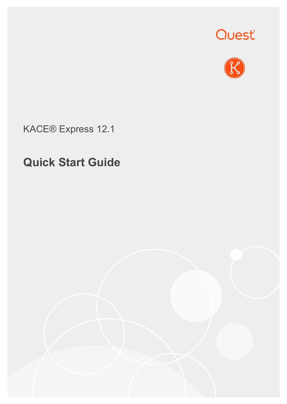



KACE® Express 12.1

# **Quick Start Guide**

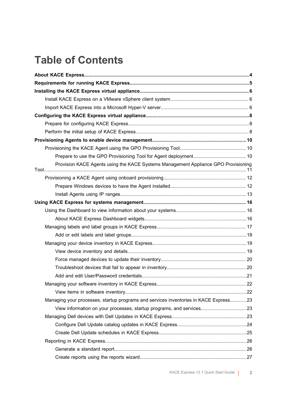## **Table of Contents**

| Provision KACE Agents using the KACE Systems Management Appliance GPO Provisioning    |  |  |
|---------------------------------------------------------------------------------------|--|--|
|                                                                                       |  |  |
|                                                                                       |  |  |
|                                                                                       |  |  |
|                                                                                       |  |  |
|                                                                                       |  |  |
|                                                                                       |  |  |
|                                                                                       |  |  |
|                                                                                       |  |  |
|                                                                                       |  |  |
|                                                                                       |  |  |
|                                                                                       |  |  |
|                                                                                       |  |  |
|                                                                                       |  |  |
|                                                                                       |  |  |
|                                                                                       |  |  |
| Managing your processes, startup programs and services inventories in KACE Express 23 |  |  |
| View information on your processes, startup programs, and services 23                 |  |  |
|                                                                                       |  |  |
|                                                                                       |  |  |
|                                                                                       |  |  |
|                                                                                       |  |  |
|                                                                                       |  |  |
|                                                                                       |  |  |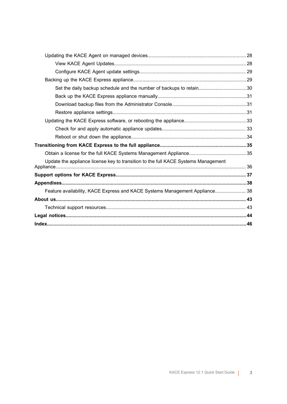| Set the daily backup schedule and the number of backups to retain30                |  |
|------------------------------------------------------------------------------------|--|
|                                                                                    |  |
|                                                                                    |  |
|                                                                                    |  |
|                                                                                    |  |
|                                                                                    |  |
|                                                                                    |  |
|                                                                                    |  |
|                                                                                    |  |
| Update the appliance license key to transition to the full KACE Systems Management |  |
|                                                                                    |  |
|                                                                                    |  |
| Feature availability, KACE Express and KACE Systems Management Appliance 38        |  |
|                                                                                    |  |
|                                                                                    |  |
|                                                                                    |  |
|                                                                                    |  |
|                                                                                    |  |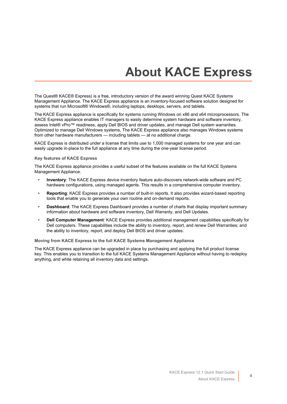# **About KACE Express**

<span id="page-3-0"></span>The Quest® KACE® Express) is a free, introductory version of the award winning Quest KACE Systems Management Appliance. The KACE Express appliance is an inventory-focused software solution designed for systems that run Microsoft® Windows®, including laptops, desktops, servers, and tablets.

The KACE Express appliance is specifically for systems running Windows on x86 and x64 microprocessors. The KACE Express appliance enables IT managers to easily determine system hardware and software inventory, assess Intel® vPro™ readiness, apply Dell BIOS and driver updates, and manage Dell system warranties. Optimized to manage Dell Windows systems, The KACE Express appliance also manages Windows systems from other hardware manufacturers — including tablets — at no additional charge.

KACE Express is distributed under a license that limits use to 1,000 managed systems for one year and can easily upgrade in-place to the full appliance at any time during the one-year license period.

#### **Key features of KACE Express**

The KACE Express appliance provides a useful subset of the features available on the full KACE Systems Management Appliance.

- **Inventory**: The KACE Express device inventory feature auto-discovers network-wide software and PC hardware configurations, using managed agents. This results in a comprehensive computer inventory.
- **Reporting**: KACE Express provides a number of built-in reports. It also provides wizard-based reporting tools that enable you to generate your own routine and on-demand reports.
- **Dashboard**: The KACE Express Dashboard provides a number of charts that display important summary information about hardware and software inventory, Dell Warranty, and Dell Updates.
- **Dell Computer Management**: KACE Express provides additional management capabilities specifically for Dell computers. These capabilities include the ability to inventory, report, and renew Dell Warranties; and the ability to inventory, report, and deploy Dell BIOS and driver updates.

**Moving from KACE Express to the full KACE Systems Management Appliance**

The KACE Express appliance can be upgraded in place by purchasing and applying the full product license key. This enables you to transition to the full KACE Systems Management Appliance without having to redeploy anything, and while retaining all inventory data and settings.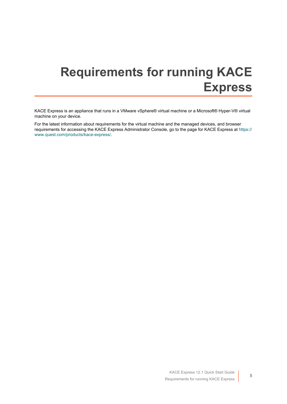# <span id="page-4-0"></span>**Requirements for running KACE Express**

KACE Express is an appliance that runs in a VMware vSphere® virtual machine or a Microsoft® Hyper-V® virtual machine on your device.

For the latest information about requirements for the virtual machine and the managed devices, and browser requirements for accessing the KACE Express Administrator Console, go to the page for KACE Express at [https://](https://www.quest.com/products/kace-express/) [www.quest.com/products/kace-express/.](https://www.quest.com/products/kace-express/)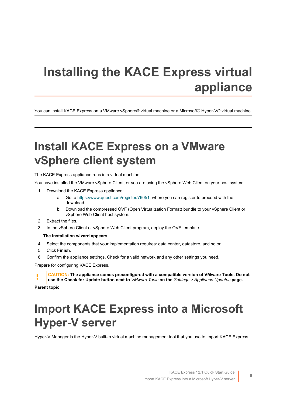# <span id="page-5-0"></span>**Installing the KACE Express virtual appliance**

You can install KACE Express on a VMware vSphere® virtual machine or a Microsoft® Hyper-V® virtual machine.

## <span id="page-5-1"></span>**Install KACE Express on a VMware vSphere client system**

The KACE Express appliance runs in a virtual machine.

You have installed the VMware vSphere Client, or you are using the vSphere Web Client on your host system.

- 1. Download the KACE Express appliance:
	- a. Go to [https://www.quest.com/register/76051,](https://www.quest.com/register/76051) where you can register to proceed with the download.
	- b. Download the compressed OVF (Open Virtualization Format) bundle to your vSphere Client or vSphere Web Client host system.
- 2. Extract the files.
- 3. In the vSphere Client or vSphere Web Client program, deploy the OVF template.

#### **The installation wizard appears.**

- 4. Select the components that your implementation requires: data center, datastore, and so on.
- 5. Click **Finish**.
- 6. Confirm the appliance settings. Check for a valid network and any other settings you need.

Prepare for configuring KACE Express.

**CAUTION: The appliance comes preconfigured with a compatible version of VMware Tools. Do not use the Check for Update button next to** *VMware Tools* **on the** *Settings > Appliance Updates* **page.**

**Parent topic** 

# <span id="page-5-2"></span>**Import KACE Express into a Microsoft Hyper-V server**

Hyper-V Manager is the Hyper-V built-in virtual machine management tool that you use to import KACE Express.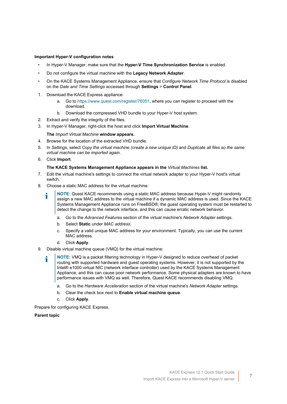#### **Important Hyper-V configuration notes**

- In Hyper-V Manager, make sure that the **Hyper-V Time Synchronization Service** is enabled.
- Do not configure the virtual machine with the **Legacy Network Adapter**.
- On the KACE Systems Management Appliance, ensure that *Configure Network Time Protocol* is disabled on the *Date and Time Settings* accessed through **Settings** > **Control Panel**.
- 1. Download the KACE Express appliance:
	- a. Go to [https://www.quest.com/register/76051,](https://www.quest.com/register/76051) where you can register to proceed with the download.
	- b. Download the compressed VHD bundle to your Hyper-V host system.
- 2. Extract and verify the integrity of the files.
- 3. In Hyper-V Manager, right-click the host and click **Import Virtual Machine**.

**The** *Import Virtual Machine* **window appears.**

- 4. Browse for the location of the extracted VHD bundle.
- 5. In *Settings*, select *Copy the virtual machine (create a new unique ID)* and *Duplicate all files so the same virtual machine can be imported again*.
- 6. Click **Import**.

#### **The KACE Systems Management Appliance appears in the** *Virtual Machines* **list.**

- 7. Edit the virtual machine's settings to connect the virtual network adapter to your Hyper-V host's virtual switch.
- 8. Choose a static MAC address for the virtual machine:
	- **NOTE:** Quest KACE recommends using a static MAC address because Hyper-V might randomly assign a new MAC address to the virtual machine if a dynamic MAC address is used. Since the KACE Systems Management Appliance runs on FreeBSD®, the guest operating system must be restarted to detect the change to the network interface, and this can cause erratic network behavior.
		- a. Go to the *Advanced Features* section of the virtual machine's *Network Adapter* settings.
		- b. Select **Static** under *MAC address*.
		- c. Specify a valid unique MAC address for your environment. Typically, you can use the current MAC address.
		- d. Click **Apply**.
- 9. Disable virtual machine queue (VMQ) for the virtual machine:
	- **NOTE:** VMQ is a packet filtering technology in Hyper-V designed to reduce overhead of packet routing with supported hardware and guest operating systems. However, it is not supported by the Intel® e1000 virtual NIC (network interface controller) used by the KACE Systems Management Appliance, and this can cause poor network performance. Some physical adapters are known to have performance issues with VMQ as well. Therefore, Quest KACE recommends disabling VMQ.
		- a. Go to the *Hardware Acceleration* section of the virtual machine's *Network Adapter* settings.
		- b. Clear the check box next to **Enable virtual machine queue**.
		- c. Click **Apply**.

Prepare for configuring KACE Express.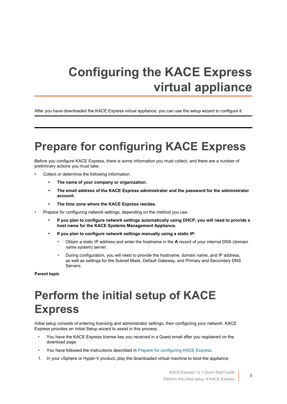# <span id="page-7-0"></span>**Configuring the KACE Express virtual appliance**

After you have downloaded the KACE Express virtual appliance, you can use the setup wizard to configure it.

## <span id="page-7-1"></span>**Prepare for configuring KACE Express**

Before you configure KACE Express, there is some information you must collect, and there are a number of preliminary actions you must take.

- Collect or determine the following information.
	- **• The name of your company or organization.**
	- **• The email address of the KACE Express administrator and the password for the administrator account.**
	- **• The time zone where the KACE Express resides.**
- Prepare for configuring network settings, depending on the method you use.
	- **• If you plan to configure network settings automatically using DHCP, you will need to provide a host name for the KACE Systems Management Appliance.**
	- **• If you plan to configure network settings manually using a static IP:**
		- Obtain a static IP address and enter the hostname in the **A** record of your internal DNS (domain name system) server.
		- During configuration, you will need to provide the hostname, domain name, and IP address, as well as settings for the Subnet Mask, Default Gateway, and Primary and Secondary DNS Servers.

**Parent topic** 

## <span id="page-7-2"></span>**Perform the initial setup of KACE Express**

Initial setup consists of entering licensing and administrator settings, then configuring your network. KACE Express provides an Initial Setup wizard to assist in this process.

- You have the KACE Express license key you received in a Quest email after you registered on the download page.
- You have followed the instructions described in [Prepare for configuring KACE Express.](#page-7-1)
- 1. In your vSphere or Hyper-V product, play the downloaded virtual machine to boot the appliance.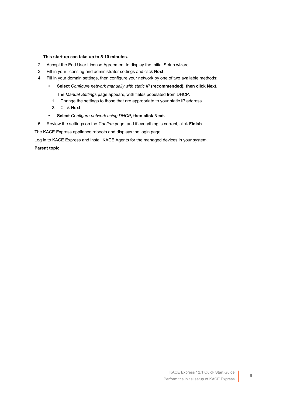#### **This start up can take up to 5-10 minutes.**

- 2. Accept the End User License Agreement to display the Initial Setup wizard.
- 3. Fill in your licensing and administrator settings and click **Next**.
- 4. Fill in your domain settings, then configure your network by one of two available methods:
	- **• Select** *Configure network manually with static IP* **(recommended), then click Next.**

The *Manual Settings* page appears, with fields populated from DHCP.

- 1. Change the settings to those that are appropriate to your static IP address.
- 2. Click **Next**.
- **• Select** *Configure network using DHCP***, then click Next.**
- 5. Review the settings on the *Confirm* page, and if everything is correct, click **Finish**.

The KACE Express appliance reboots and displays the login page.

Log in to KACE Express and install KACE Agents for the managed devices in your system.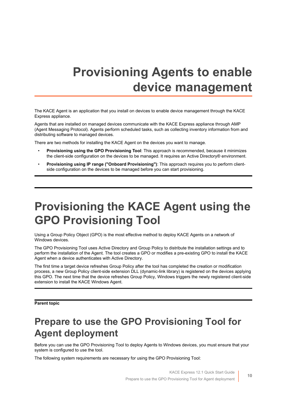# <span id="page-9-0"></span>**Provisioning Agents to enable device management**

The KACE Agent is an application that you install on devices to enable device management through the KACE Express appliance.

Agents that are installed on managed devices communicate with the KACE Express appliance through AMP (Agent Messaging Protocol). Agents perform scheduled tasks, such as collecting inventory information from and distributing software to managed devices.

There are two methods for installing the KACE Agent on the devices you want to manage.

- **Provisioning using the GPO Provisioning Tool**: This approach is recommended, because it minimizes the client-side configuration on the devices to be managed. It requires an Active Directory® environment.
- **Provisioning using IP range ("Onboard Provisioning")**: This approach requires you to perform clientside configuration on the devices to be managed before you can start provisioning.

# <span id="page-9-1"></span>**Provisioning the KACE Agent using the GPO Provisioning Tool**

Using a Group Policy Object (GPO) is the most effective method to deploy KACE Agents on a network of Windows devices.

The GPO Provisioning Tool uses Active Directory and Group Policy to distribute the installation settings and to perform the installation of the Agent. The tool creates a GPO or modifies a pre-existing GPO to install the KACE Agent when a device authenticates with Active Directory.

The first time a target device refreshes Group Policy after the tool has completed the creation or modification process, a new Group Policy client-side extension DLL (dynamic-link library) is registered on the devices applying this GPO. The next time that the device refreshes Group Policy, Windows triggers the newly registered client-side extension to install the KACE Windows Agent.

**Parent topic** 

### <span id="page-9-2"></span>**Prepare to use the GPO Provisioning Tool for Agent deployment**

Before you can use the GPO Provisioning Tool to deploy Agents to Windows devices, you must ensure that your system is configured to use the tool.

The following system requirements are necessary for using the GPO Provisioning Tool: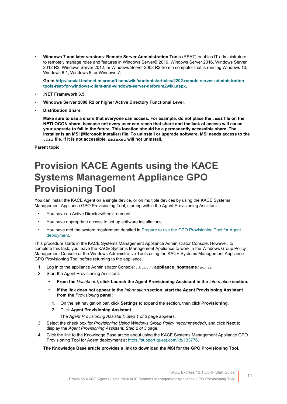• **Windows 7 and later versions**: **Remote Server Administration Tools** (RSAT) enables IT administrators to remotely manage roles and features in Windows Server® 2019, Windows Server 2016, Windows Server 2012 R2, Windows Server 2012, or Windows Server 2008 R2 from a computer that is running Windows 10, Windows 8.1, Windows 8, or Windows 7.

**Go to [http://social.technet.microsoft.com/wiki/contents/articles/2202.remote-server-administration](http://social.technet.microsoft.com/wiki/contents/articles/2202.remote-server-administration-tools-rsat-for-windows-client-and-windows-server-dsforum2wiki.aspx)[tools-rsat-for-windows-client-and-windows-server-dsforum2wiki.aspx](http://social.technet.microsoft.com/wiki/contents/articles/2202.remote-server-administration-tools-rsat-for-windows-client-and-windows-server-dsforum2wiki.aspx).**

- **.NET Framework 3.5**.
- **Windows Server 2008 R2 or higher Active Directory Functional Level**.
- **Distribution Share**.

**Make sure to use a share that everyone can access. For example, do not place the .msi file on the NETLOGON share, because not every user can reach that share and the lack of access will cause your upgrade to fail in the future. This location should be a permanently accessible share. The installer is an MSI (Microsoft Installer) file. To uninstall or upgrade software, MSI needs access to the .msi file. If it is not accessible, msiexec will not uninstall.**

**Parent topic** 

## <span id="page-10-0"></span>**Provision KACE Agents using the KACE Systems Management Appliance GPO Provisioning Tool**

You can install the KACE Agent on a single device, or on multiple devices by using the KACE Systems Management Appliance GPO Provisioning Tool, starting within the Agent Provisioning Assistant.

- You have an Active Directory® environment.
- You have appropriate access to set up software installations.
- You have met the system requirement detailed in [Prepare to use the GPO Provisioning Tool for Agent](#page-9-2) [deployment.](#page-9-2)

This procedure starts in the KACE Systems Management Appliance Administrator Console. However, to complete this task, you leave the KACE Systems Management Appliance to work in the Windows Group Policy Management Console or the Windows Administrative Tools using the KACE Systems Management Appliance GPO Provisioning Tool before returning to the appliance.

- 1. Log in to the appliance Administrator Console: http://**appliance\_hostname**/admin.
- 2. Start the Agent Provisioning Assistant.
	- **• From the** *Dashboard***, click Launch the Agent Provisioning Assistant in the** *Information* **section.**
	- **• If the link does not appear in the** *Information* **section, start the Agent Provisioning Assistant from the** *Provisioning* **panel:**
		- 1. On the left navigation bar, click **Settings** to expand the section, then click **Provisioning**.
		- 2. Click **Agent Provisioning Assistant**. The *Agent Provisioning Assistant: Step 1 of 3* page appears.
- 3. Select the check box for *Provisioning Using Windows Group Policy (recommended)*, and click **Next** to display the *Agent Provisioning Assistant: Step 2 of 3* page.
- 4. Click the link to the Knowledge Base article about using the KACE Systems Management Appliance GPO Provisioning Tool for Agent deployment at <https://support.quest.com/kb/133776>.

#### **The Knowledge Base article provides a link to download the MSI for the GPO Provisioning Tool.**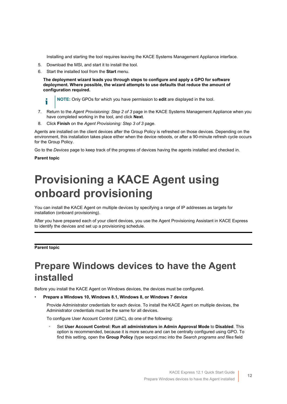Installing and starting the tool requires leaving the KACE Systems Management Appliance interface.

- 5. Download the MSI, and start it to install the tool.
- 6. Start the installed tool from the **Start** menu.

**The deployment wizard leads you through steps to configure and apply a GPO for software deployment. Where possible, the wizard attempts to use defaults that reduce the amount of configuration required.**

**NOTE:** Only GPOs for which you have permission to **edit** are displayed in the tool.

- 7. Return to the *Agent Provisioning: Step 2 of 3* page in the KACE Systems Management Appliance when you have completed working in the tool, and click **Next**.
- 8. Click **Finish** on the *Agent Provisioning: Step 3 of 3* page.

Agents are installed on the client devices after the Group Policy is refreshed on those devices. Depending on the environment, this installation takes place either when the device reboots, or after a 90-minute refresh cycle occurs for the Group Policy.

Go to the *Devices* page to keep track of the progress of devices having the agents installed and checked in.

**Parent topic** 

i

# <span id="page-11-0"></span>**Provisioning a KACE Agent using onboard provisioning**

You can install the KACE Agent on multiple devices by specifying a range of IP addresses as targets for installation (onboard provisioning).

After you have prepared each of your client devices, you use the Agent Provisioning Assistant in KACE Express to identify the devices and set up a provisioning schedule.

#### **Parent topic**

## <span id="page-11-1"></span>**Prepare Windows devices to have the Agent installed**

Before you install the KACE Agent on Windows devices, the devices must be configured.

• **Prepare a Windows 10, Windows 8.1, Windows 8, or Windows 7 device**

Provide Administrator credentials for each device. To install the KACE Agent on multiple devices, the Administrator credentials must be the same for all devices.

To configure User Account Control (UAC), do one of the following:

◦ Set **User Account Control: Run all administrators in Admin Approval Mode** to **Disabled**. This option is recommended, because it is more secure and can be centrally configured using GPO. To find this setting, open the **Group Policy** (type secpol.msc into the *Search programs and files* field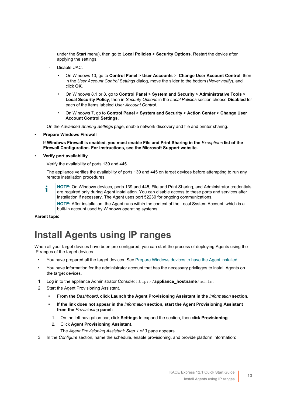under the **Start** menu), then go to **Local Policies** > **Security Options**. Restart the device after applying the settings.

- Disable UAC.
	- On Windows 10, go to **Control Panel** > **User Accounts** > **Change User Account Control**, then in the *User Account Control Setting*s dialog, move the slider to the bottom (*Never notify*), and click **OK**.
	- On Windows 8.1 or 8, go to **Control Panel** > **System and Security** > **Administrative Tools** > **Local Security Policy**, then in *Security Options* in the *Local Policies* section choose **Disabled** for each of the items labeled *User Account Control*.
	- On Windows 7, go to **Control Panel** > **System and Security** > **Action Center** > **Change User Account Control Settings**.

On the *Advanced Sharing Settings* page, enable network discovery and file and printer sharing.

• **Prepare Windows Firewall**

**If Windows Firewall is enabled, you must enable File and Print Sharing in the** *Exceptions* **list of the Firewall Configuration. For instructions, see the Microsoft Support website.**

• **Verify port availability**

Verify the availability of ports 139 and 445.

The appliance verifies the availability of ports 139 and 445 on target devices before attempting to run any remote installation procedures.

**NOTE:** On Windows devices, ports 139 and 445, File and Print Sharing, and Administrator credentials are required only during Agent installation. You can disable access to these ports and services after installation if necessary. The Agent uses port 52230 for ongoing communications.

**NOTE:** After installation, the Agent runs within the context of the Local System Account, which is a built-in account used by Windows operating systems.

#### **Parent topic**

## <span id="page-12-0"></span>**Install Agents using IP ranges**

When all your target devices have been pre-configured, you can start the process of deploying Agents using the IP ranges of the target devices.

- You have prepared all the target devices. See [Prepare Windows devices to have the Agent installed.](#page-11-1)
- You have information for the administrator account that has the necessary privileges to install Agents on the target devices.
- 1. Log in to the appliance Administrator Console: http://**appliance\_hostname**/admin.
- 2. Start the Agent Provisioning Assistant.
	- **• From the** *Dashboard***, click Launch the Agent Provisioning Assistant in the** *Information* **section.**
	- **• If the link does not appear in the** *Information* **section, start the Agent Provisioning Assistant from the** *Provisioning* **panel:**
		- 1. On the left navigation bar, click **Settings** to expand the section, then click **Provisioning**.
		- 2. Click **Agent Provisioning Assistant**.

The *Agent Provisioning Assistant: Step 1 of 3* page appears.

3. In the *Configure* section, name the schedule, enable provisioning, and provide platform information: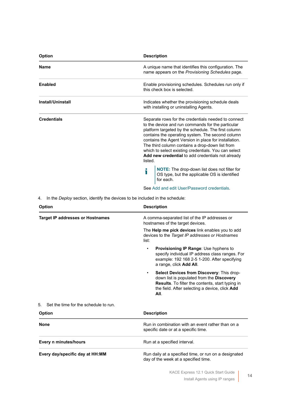| Option                   | <b>Description</b>                                                                                                                                                                                                                                                                                                                                                                                                                                      |
|--------------------------|---------------------------------------------------------------------------------------------------------------------------------------------------------------------------------------------------------------------------------------------------------------------------------------------------------------------------------------------------------------------------------------------------------------------------------------------------------|
| <b>Name</b>              | A unique name that identifies this configuration. The<br>name appears on the Provisioning Schedules page.                                                                                                                                                                                                                                                                                                                                               |
| <b>Enabled</b>           | Enable provisioning schedules. Schedules run only if<br>this check box is selected.                                                                                                                                                                                                                                                                                                                                                                     |
| <b>Install/Uninstall</b> | Indicates whether the provisioning schedule deals<br>with installing or uninstalling Agents.                                                                                                                                                                                                                                                                                                                                                            |
| <b>Credentials</b>       | Separate rows for the credentials needed to connect<br>to the device and run commands for the particular<br>platform targeted by the schedule. The first column<br>contains the operating system. The second column<br>contains the Agent Version in place for installation.<br>The third column contains a drop-down list from<br>which to select existing credentials. You can select<br>Add new credential to add credentials not already<br>listed. |
|                          | NOTE: The drop-down list does not filter for<br>i<br>OS type, but the applicable OS is identified<br>for each.                                                                                                                                                                                                                                                                                                                                          |
|                          | See Add and edit User/Password credentials.                                                                                                                                                                                                                                                                                                                                                                                                             |
| 4.                       | In the Deploy section, identify the devices to be included in the schedule:                                                                                                                                                                                                                                                                                                                                                                             |

| <b>Option</b>                               | <b>Description</b>                                                                                                                                                                                                |
|---------------------------------------------|-------------------------------------------------------------------------------------------------------------------------------------------------------------------------------------------------------------------|
| <b>Target IP addresses or Hostnames</b>     | A comma-separated list of the IP addresses or<br>hostnames of the target devices.                                                                                                                                 |
|                                             | The <b>Help me pick devices</b> link enables you to add<br>devices to the Target IP addresses or Hostnames<br>list:                                                                                               |
|                                             | <b>Provisioning IP Range: Use hyphens to</b><br>٠<br>specify individual IP address class ranges. For<br>example: 192 168 2-5 1-200. After specifying<br>a range, click Add All.                                   |
|                                             | Select Devices from Discovery: This drop-<br>$\bullet$<br>down list is populated from the Discovery<br>Results. To filter the contents, start typing in<br>the field. After selecting a device, click Add<br>AII. |
| Set the time for the schedule to run.<br>5. |                                                                                                                                                                                                                   |
| <b>Option</b>                               | <b>Description</b>                                                                                                                                                                                                |
| <b>None</b>                                 | Run in combination with an event rather than on a<br>specific date or at a specific time.                                                                                                                         |
| Every n minutes/hours                       | Run at a specified interval.                                                                                                                                                                                      |
| Every day/specific day at HH:MM             | Run daily at a specified time, or run on a designated<br>day of the week at a specified time.                                                                                                                     |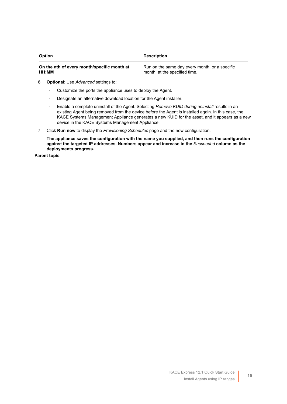| <b>Option</b>                               | <b>Description</b>                             |
|---------------------------------------------|------------------------------------------------|
| On the nth of every month/specific month at | Run on the same day every month, or a specific |
| HH:MM                                       | month, at the specified time.                  |

- 6. **Optional**: Use *Advanced* settings to:
	- Customize the ports the appliance uses to deploy the Agent.
	- Designate an alternative download location for the Agent installer.
	- Enable a complete uninstall of the Agent. Selecting *Remove KUID during uninstall* results in an existing Agent being removed from the device before the Agent is installed again. In this case, the KACE Systems Management Appliance generates a new KUID for the asset, and it appears as a new device in the KACE Systems Management Appliance.
- 7. Click **Run now** to display the *Provisioning Schedules* page and the new configuration.

**The appliance saves the configuration with the name you supplied, and then runs the configuration against the targeted IP addresses. Numbers appear and increase in the** *Succeeded* **column as the deployments progress.**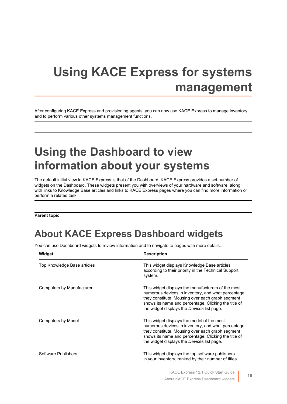# <span id="page-15-0"></span>**Using KACE Express for systems management**

After configuring KACE Express and provisioning agents, you can now use KACE Express to manage inventory and to perform various other systems management functions.

# <span id="page-15-1"></span>**Using the Dashboard to view information about your systems**

The default initial view in KACE Express is that of the Dashboard. KACE Express provides a set number of widgets on the Dashboard. These widgets present you with overviews of your hardware and software, along with links to Knowledge Base articles and links to KACE Express pages where you can find more information or perform a related task.

**Parent topic** 

## <span id="page-15-2"></span>**About KACE Express Dashboard widgets**

You can use Dashboard widgets to review information and to navigate to pages with more details.

| Widget                      | <b>Description</b>                                                                                                                                                                                                                                                 |
|-----------------------------|--------------------------------------------------------------------------------------------------------------------------------------------------------------------------------------------------------------------------------------------------------------------|
| Top Knowledge Base articles | This widget displays Knowledge Base articles<br>according to their priority in the Technical Support<br>system.                                                                                                                                                    |
| Computers by Manufacturer   | This widget displays the manufacturers of the most<br>numerous devices in inventory, and what percentage<br>they constitute. Mousing over each graph segment<br>shows its name and percentage. Clicking the title of<br>the widget displays the Devices list page. |
| Computers by Model          | This widget displays the model of the most<br>numerous devices in inventory, and what percentage<br>they constitute. Mousing over each graph segment<br>shows its name and percentage. Clicking the title of<br>the widget displays the Devices list page.         |
| Software Publishers         | This widget displays the top software publishers<br>in your inventory, ranked by their number of titles.                                                                                                                                                           |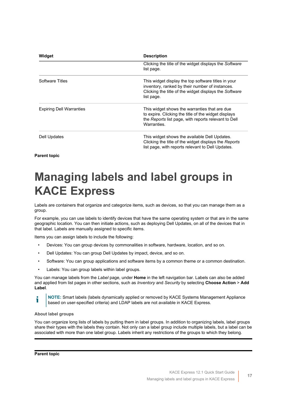| Widget                          | <b>Description</b>                                                                                                                                                             |
|---------------------------------|--------------------------------------------------------------------------------------------------------------------------------------------------------------------------------|
|                                 | Clicking the title of the widget displays the Software<br>list page.                                                                                                           |
| <b>Software Titles</b>          | This widget display the top software titles in your<br>inventory, ranked by their number of instances.<br>Clicking the title of the widget displays the Software<br>list page. |
| <b>Expiring Dell Warranties</b> | This widget shows the warranties that are due<br>to expire. Clicking the title of the widget displays<br>the Reports list page, with reports relevant to Dell<br>Warranties.   |
| Dell Updates                    | This widget shows the available Dell Updates.<br>Clicking the title of the widget displays the Reports<br>list page, with reports relevant to Dell Updates.                    |

**Parent topic** 

## <span id="page-16-0"></span>**Managing labels and label groups in KACE Express**

Labels are containers that organize and categorize items, such as devices, so that you can manage them as a group.

For example, you can use labels to identify devices that have the same operating system or that are in the same geographic location. You can then initiate actions, such as deploying Dell Updates, on all of the devices that in that label. Labels are manually assigned to specific items.

Items you can assign labels to include the following:

- Devices: You can group devices by commonalities in software, hardware, location, and so on.
- Dell Updates: You can group Dell Updates by impact, device, and so on.
- Software: You can group applications and software items by a common theme or a common destination.
- Labels: You can group labels within label groups.

You can manage labels from the *Label* page, under **Home** in the left navigation bar. Labels can also be added and applied from list pages in other sections, such as *Inventory* and *Security* by selecting **Choose Action** > **Add Label**.

**NOTE:** Smart labels (labels dynamically applied or removed by KACE Systems Management Appliance i based on user-specified criteria) and LDAP labels are not available in KACE Express.

#### **About label groups**

You can organize long lists of labels by putting them in label groups. In addition to organizing labels, label groups share their types with the labels they contain. Not only can a label group include multiple labels, but a label can be associated with more than one label group. Labels inherit any restrictions of the groups to which they belong.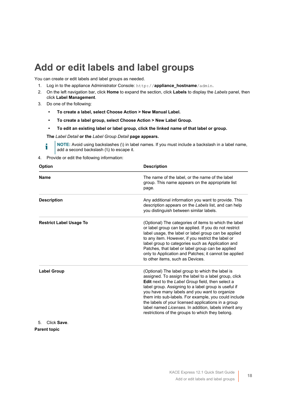### <span id="page-17-0"></span>**Add or edit labels and label groups**

You can create or edit labels and label groups as needed.

- 1. Log in to the appliance Administrator Console: http://**appliance\_hostname**/admin.
- 2. On the left navigation bar, click **Home** to expand the section, click **Labels** to display the *Labels* panel, then click **Label Management**.
- 3. Do one of the following:
	- **• To create a label, select Choose Action > New Manual Label.**
	- **• To create a label group, select Choose Action > New Label Group.**
	- **• To edit an existing label or label group, click the linked name of that label or group.**

**The** *Label Detail* **or the** *Label Group Detail* **page appears.**

- **NOTE:** Avoid using backslashes (\) in label names. If you must include a backslash in a label name, i add a second backslash (\\) to escape it.
- 4. Provide or edit the following information:

| <b>Option</b>                  | <b>Description</b>                                                                                                                                                                                                                                                                                                                                                                                                                                                                                         |
|--------------------------------|------------------------------------------------------------------------------------------------------------------------------------------------------------------------------------------------------------------------------------------------------------------------------------------------------------------------------------------------------------------------------------------------------------------------------------------------------------------------------------------------------------|
| <b>Name</b>                    | The name of the label, or the name of the label<br>group. This name appears on the appropriate list<br>page.                                                                                                                                                                                                                                                                                                                                                                                               |
| <b>Description</b>             | Any additional information you want to provide. This<br>description appears on the Labels list, and can help<br>you distinguish between similar labels.                                                                                                                                                                                                                                                                                                                                                    |
| <b>Restrict Label Usage To</b> | (Optional) The categories of items to which the label<br>or label group can be applied. If you do not restrict<br>label usage, the label or label group can be applied<br>to any item. However, if you restrict the label or<br>label group to categories such as Application and<br>Patches, that label or label group can be applied<br>only to Application and Patches; it cannot be applied<br>to other items, such as Devices.                                                                        |
| <b>Label Group</b>             | (Optional) The label group to which the label is<br>assigned. To assign the label to a label group, click<br><b>Edit</b> next to the Label Group field, then select a<br>label group. Assigning to a label group is useful if<br>you have many labels and you want to organize<br>them into sub-labels. For example, you could include<br>the labels of your licensed applications in a group<br>label named Licenses. In addition, labels inherit any<br>restrictions of the groups to which they belong. |

5. Click **Save**.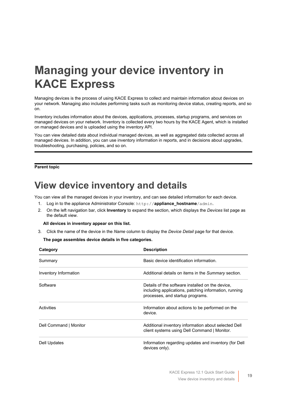# <span id="page-18-0"></span>**Managing your device inventory in KACE Express**

Managing devices is the process of using KACE Express to collect and maintain information about devices on your network. Managing also includes performing tasks such as monitoring device status, creating reports, and so on.

Inventory includes information about the devices, applications, processes, startup programs, and services on managed devices on your network. Inventory is collected every two hours by the KACE Agent, which is installed on managed devices and is uploaded using the inventory API.

You can view detailed data about individual managed devices, as well as aggregated data collected across all managed devices. In addition, you can use inventory information in reports, and in decisions about upgrades, troubleshooting, purchasing, policies, and so on.

#### **Parent topic**

### <span id="page-18-1"></span>**View device inventory and details**

You can view all the managed devices in your inventory, and can see detailed information for each device.

- 1. Log in to the appliance Administrator Console: http://**appliance\_hostname**/admin.
- 2. On the left navigation bar, click **Inventory** to expand the section, which displays the *Devices* list page as the default view.

#### **All devices in inventory appear on this list.**

3. Click the name of the device in the *Name* column to display the *Device Detail* page for that device.

**The page assembles device details in five categories.**

| Category               | <b>Description</b>                                                                                                                            |
|------------------------|-----------------------------------------------------------------------------------------------------------------------------------------------|
| Summary                | Basic device identification information.                                                                                                      |
| Inventory Information  | Additional details on items in the Summary section.                                                                                           |
| Software               | Details of the software installed on the device,<br>including applications, patching information, running<br>processes, and startup programs. |
| Activities             | Information about actions to be performed on the<br>device.                                                                                   |
| Dell Command   Monitor | Additional inventory information about selected Dell<br>client systems using Dell Command   Monitor.                                          |
| Dell Updates           | Information regarding updates and inventory (for Dell<br>devices only).                                                                       |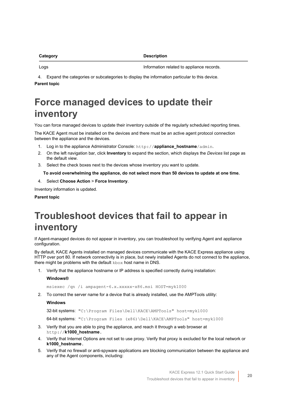| Category | <b>Description</b>                        |
|----------|-------------------------------------------|
| Logs     | Information related to appliance records. |

4. Expand the categories or subcategories to display the information particular to this device. **Parent topic** 

## <span id="page-19-0"></span>**Force managed devices to update their inventory**

You can force managed devices to update their inventory outside of the regularly scheduled reporting times.

The KACE Agent must be installed on the devices and there must be an active agent protocol connection between the appliance and the devices.

- 1. Log in to the appliance Administrator Console: http://**appliance\_hostname**/admin.
- 2. On the left navigation bar, click **Inventory** to expand the section, which displays the *Devices* list page as the default view.
- 3. Select the check boxes next to the devices whose inventory you want to update.

**To avoid overwhelming the appliance, do not select more than 50 devices to update at one time.**

4. Select **Choose Action** > **Force Inventory**.

Inventory information is updated.

**Parent topic** 

## <span id="page-19-1"></span>**Troubleshoot devices that fail to appear in inventory**

If Agent-managed devices do not appear in inventory, you can troubleshoot by verifying Agent and appliance configuration.

By default, KACE Agents installed on managed devices communicate with the KACE Express appliance using HTTP over port 80. If network connectivity is in place, but newly installed Agents do not connect to the appliance, there might be problems with the default kbox host name in DNS.

1. Verify that the appliance hostname or IP address is specified correctly during installation:

#### **Windows®**

msiexec /qn /i ampagent-6.x.xxxxx-x86.msi HOST=myk1000

2. To correct the server name for a device that is already installed, use the AMPTools utility:

#### **Windows**

32-bit systems: "C:\Program Files\Dell\KACE\AMPTools" host=myk1000

64-bit systems: "C:\Program Files (x86)\Dell\KACE\AMPTools" host=myk1000

- 3. Verify that you are able to ping the appliance, and reach it through a web browser at http://**k1000\_hostname**.
- 4. Verify that Internet Options are not set to use proxy. Verify that proxy is excluded for the local network or **k1000\_hostname**.
- 5. Verify that no firewall or anti-spyware applications are blocking communication between the appliance and any of the Agent components, including: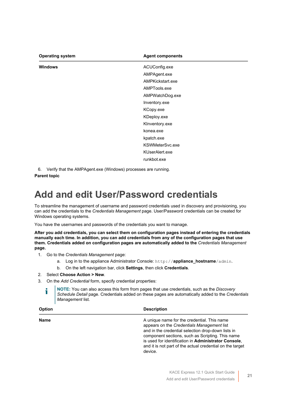| <b>Operating system</b> | <b>Agent components</b> |
|-------------------------|-------------------------|
| <b>Windows</b>          | ACUConfig.exe           |
|                         | AMPAgent.exe            |
|                         | AMPKickstart.exe        |
|                         | AMPTools.exe            |
|                         | AMPWatchDog.exe         |
|                         | Inventory.exe           |
|                         | KCopy.exe               |
|                         | KDeploy.exe             |
|                         | KInventory.exe          |
|                         | konea.exe               |
|                         | kpatch.exe              |
|                         | KSWMeterSvc.exe         |
|                         | KUserAlert.exe          |
|                         | runkbot.exe             |

6. Verify that the AMPAgent.exe (Windows) processes are running.

**Parent topic** 

## <span id="page-20-0"></span>**Add and edit User/Password credentials**

To streamline the management of username and password credentials used in discovery and provisioning, you can add the credentials to the *Credentials Management* page. User/Password credentials can be created for Windows operating systems.

You have the usernames and passwords of the credentials you want to manage.

**After you add credentials, you can select them on configuration pages instead of entering the credentials manually each time. In addition, you can add credentials from any of the configuration pages that use them. Credentials added on configuration pages are automatically added to the** *Credentials Management* **page.**

- 1. Go to the *Credentials Management* page:
	- a. Log in to the appliance Administrator Console: http://**appliance\_hostname**/admin.
	- b. On the left navigation bar, click **Settings**, then click **Credentials**.
- 2. Select **Choose Action > New**.
- 3. On the *Add Credential* form, specify credential properties:

**NOTE:** You can also access this form from pages that use credentials, such as the *Discovery Schedule Detail* page. Credentials added on these pages are automatically added to the *Credentials Management* list.

| Option      | <b>Description</b>                                                                                                                                                                                                                                                                                                                  |
|-------------|-------------------------------------------------------------------------------------------------------------------------------------------------------------------------------------------------------------------------------------------------------------------------------------------------------------------------------------|
| <b>Name</b> | A unique name for the credential. This name<br>appears on the Credentials Management list<br>and in the credential selection drop-down lists in<br>component sections, such as Scripting. This name<br>is used for identification in Administrator Console,<br>and it is not part of the actual credential on the target<br>device. |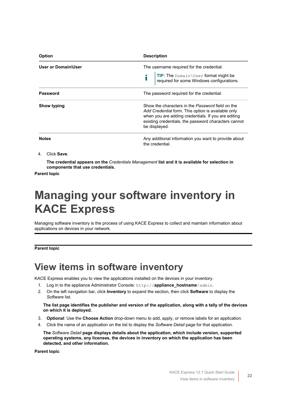| <b>Option</b>       | <b>Description</b>                                                                                                                                                                                                                     |
|---------------------|----------------------------------------------------------------------------------------------------------------------------------------------------------------------------------------------------------------------------------------|
| User or Domain\User | The username required for the credential.<br><b>TIP:</b> The Domain \User format might be required for some Windows configurations.                                                                                                    |
| <b>Password</b>     | The password required for the credential.                                                                                                                                                                                              |
| Show typing         | Show the characters in the Password field on the<br>Add Credential form. This option is available only<br>when you are adding credentials. If you are editing<br>existing credentials, the password characters cannot<br>be displayed. |
| <b>Notes</b>        | Any additional information you want to provide about<br>the credential.                                                                                                                                                                |

4. Click **Save**.

**The credential appears on the** *Credentials Management* **list and it is available for selection in components that use credentials.**

**Parent topic** 

# <span id="page-21-0"></span>**Managing your software inventory in KACE Express**

Managing software inventory is the process of using KACE Express to collect and maintain information about applications on devices in your network.

**Parent topic** 

### <span id="page-21-1"></span>**View items in software inventory**

KACE Express enables you to view the applications installed on the devices in your inventory.

- 1. Log in to the appliance Administrator Console: http://**appliance\_hostname**/admin.
- 2. On the left navigation bar, click **Inventory** to expand the section, then click **Software** to display the *Software* list.

**The list page identifies the publisher and version of the application, along with a tally of the devices on which it is deployed.**

- 3. **Optional**: Use the **Choose Action** drop-down menu to add, apply, or remove labels for an application.
- 4. Click the name of an application on the list to display the *Software Detail* page for that application.

**The** *Software Detail* **page displays details about the application, which include version, supported operating systems, any licenses, the devices in inventory on which the application has been detected, and other information.**

**Parent topic**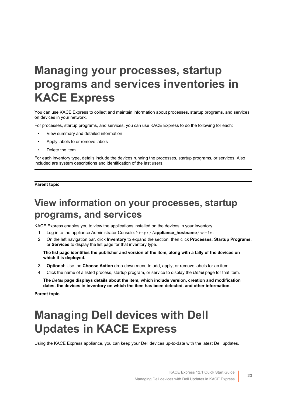# <span id="page-22-0"></span>**Managing your processes, startup programs and services inventories in KACE Express**

You can use KACE Express to collect and maintain information about processes, startup programs, and services on devices in your network.

For processes, startup programs, and services, you can use KACE Express to do the following for each:

- View summary and detailed information
- Apply labels to or remove labels
- Delete the item

For each inventory type, details include the devices running the processes, startup programs, or services. Also included are system descriptions and identification of the last users.

#### **Parent topic**

### <span id="page-22-1"></span>**View information on your processes, startup programs, and services**

KACE Express enables you to view the applications installed on the devices in your inventory.

- 1. Log in to the appliance Administrator Console: http://**appliance\_hostname**/admin.
- 2. On the left navigation bar, click **Inventory** to expand the section, then click **Processes**, **Startup Programs**, or **Services** to display the list page for that inventory type.

**The list page identifies the publisher and version of the item, along with a tally of the devices on which it is deployed.**

- 3. **Optional**: Use the **Choose Action** drop-down menu to add, apply, or remove labels for an item.
- 4. Click the name of a listed process, startup program, or service to display the *Detail* page for that item.

**The** *Detail* **page displays details about the item, which include version, creation and modification dates, the devices in inventory on which the item has been detected, and other information.**

**Parent topic** 

# <span id="page-22-2"></span>**Managing Dell devices with Dell Updates in KACE Express**

Using the KACE Express appliance, you can keep your Dell devices up-to-date with the latest Dell updates.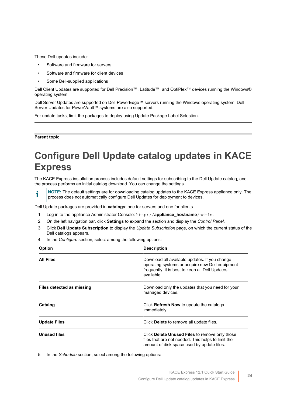These Dell updates include:

- Software and firmware for servers
- Software and firmware for client devices
- Some Dell-supplied applications

Dell Client Updates are supported for Dell Precision™, Latitude™, and OptiPlex™ devices running the Windows® operating system.

Dell Server Updates are supported on Dell PowerEdge™ servers running the Windows operating system. Dell Server Updates for PowerVault™ systems are also supported.

For update tasks, limit the packages to deploy using Update Package Label Selection.

#### **Parent topic**

## <span id="page-23-0"></span>**Configure Dell Update catalog updates in KACE Express**

The KACE Express installation process includes default settings for subscribing to the Dell Update catalog, and the process performs an initial catalog download. You can change the settings.

**NOTE:** The default settings are for downloading catalog updates to the KACE Express appliance only. The i process does not automatically configure Dell Updates for deployment to devices.

Dell Update packages are provided in **catalogs**: one for servers and one for clients.

- 1. Log in to the appliance Administrator Console: http://**appliance\_hostname**/admin.
- 2. On the left navigation bar, click **Settings** to expand the section and display the *Control Panel*.
- 3. Click **Dell Update Subscription** to display the *Update Subscription* page, on which the current status of the Dell catalogs appears.
- 4. In the *Configure* section, select among the following options:

| <b>Option</b>             | <b>Description</b>                                                                                                                                                |
|---------------------------|-------------------------------------------------------------------------------------------------------------------------------------------------------------------|
| <b>All Files</b>          | Download all available updates. If you change<br>operating systems or acquire new Dell equipment<br>frequently, it is best to keep all Dell Updates<br>available. |
| Files detected as missing | Download only the updates that you need for your<br>managed devices.                                                                                              |
| Catalog                   | Click Refresh Now to update the catalogs<br>immediately.                                                                                                          |
| <b>Update Files</b>       | Click Delete to remove all update files.                                                                                                                          |
| <b>Unused files</b>       | Click Delete Unused Files to remove only those<br>files that are not needed. This helps to limit the<br>amount of disk space used by update files.                |

5. In the *Schedule* section, select among the following options: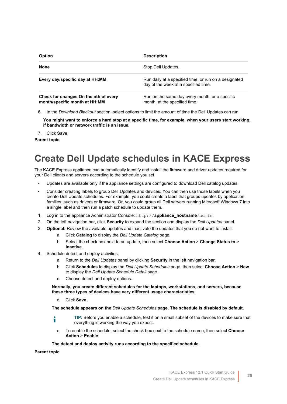| <b>Option</b>                                                          | <b>Description</b><br>Stop Dell Updates.                                                      |  |  |
|------------------------------------------------------------------------|-----------------------------------------------------------------------------------------------|--|--|
| None                                                                   |                                                                                               |  |  |
| Every day/specific day at HH:MM                                        | Run daily at a specified time, or run on a designated<br>day of the week at a specified time. |  |  |
| Check for changes On the nth of every<br>month/specific month at HH:MM | Run on the same day every month, or a specific<br>month, at the specified time.               |  |  |

6. In the *Download Blackout* section, select options to limit the amount of time the Dell Updates can run.

**You might want to enforce a hard stop at a specific time, for example, when your users start working, if bandwidth or network traffic is an issue.**

7. Click **Save**.

**Parent topic** 

## <span id="page-24-0"></span>**Create Dell Update schedules in KACE Express**

The KACE Express appliance can automatically identify and install the firmware and driver updates required for your Dell clients and servers according to the schedule you set.

- Updates are available only if the appliance settings are configured to download Dell catalog updates.
- Consider creating labels to group Dell Updates and devices. You can then use those labels when you create Dell Update schedules. For example, you could create a label that groups updates by application families, such as drivers or firmware. Or, you could group all Dell servers running Microsoft Windows 7 into a single label and then run a patch schedule to update them.
- 1. Log in to the appliance Administrator Console: http://**appliance\_hostname**/admin.
- 2. On the left navigation bar, click **Security** to expand the section and display the *Dell Updates* panel.
- 3. **Optional:** Review the available updates and inactivate the updates that you do not want to install.
	- a. Click **Catalog** to display the *Dell Update Catalog* page.
	- b. Select the check box next to an update, then select **Choose Action** > **Change Status to** > **Inactive**.
- 4. Schedule detect and deploy activities.
	- a. Return to the *Dell Updates* panel by clicking **Security** in the left navigation bar.
	- b. Click **Schedules** to display the *Dell Update Schedules* page, then select **Choose Action** > **New** to display the *Dell Update Schedule Detail* page.
	- c. Choose detect and deploy options.

**Normally, you create different schedules for the laptops, workstations, and servers, because these three types of devices have very different usage characteristics.**

d. Click **Save**.

#### **The schedule appears on the** *Dell Update Schedules* **page. The schedule is disabled by default.**

- **TIP:** Before you enable a schedule, test it on a small subset of the devices to make sure that i everything is working the way you expect.
	- e. To enable the schedule, select the check box next to the schedule name, then select **Choose Action** > **Enable**.

#### **The detect and deploy activity runs according to the specified schedule.**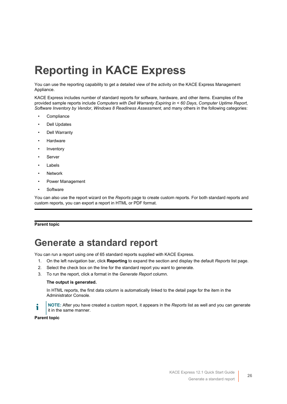# <span id="page-25-0"></span>**Reporting in KACE Express**

You can use the reporting capability to get a detailed view of the activity on the KACE Express Management Appliance.

KACE Express includes number of standard reports for software, hardware, and other items. Examples of the provided sample reports include *Computers with Dell Warranty Expiring in < 60 Days*, *Computer Uptime Report*, *Software Inventory by Vendor*, *Windows 8 Readiness Assessment*, and many others in the following categories:

- **Compliance**
- Dell Updates
- Dell Warranty
- **Hardware**
- **Inventory**
- **Server**
- **Labels**
- **Network**
- Power Management
- **Software**

You can also use the report wizard on the *Reports* page to create custom reports. For both standard reports and custom reports, you can export a report in HTML or PDF format.

#### **Parent topic**

### <span id="page-25-1"></span>**Generate a standard report**

You can run a report using one of 65 standard reports supplied with KACE Express.

- 1. On the left navigation bar, click **Reporting** to expand the section and display the default *Reports* list page.
- 2. Select the check box on the line for the standard report you want to generate.
- 3. To run the report, click a format in the *Generate Report* column.

#### **The output is generated.**

In HTML reports, the first data column is automatically linked to the detail page for the item in the Administrator Console.

**NOTE:** After you have created a custom report, it appears in the *Reports* list as well and you can generate i it in the same manner.

#### **Parent topic**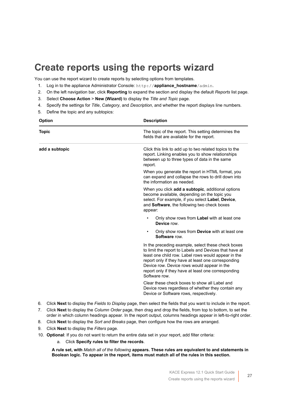## <span id="page-26-0"></span>**Create reports using the reports wizard**

You can use the report wizard to create reports by selecting options from templates.

- 1. Log in to the appliance Administrator Console: http://**appliance\_hostname**/admin.
- 2. On the left navigation bar, click **Reporting** to expand the section and display the default *Reports* list page.
- 3. Select **Choose Action** > **New (Wizard)** to display the *Title and Topic* page.
- 4. Specify the settings for *Title*, *Category*, and *Description*, and whether the report displays line numbers.
- 5. Define the topic and any subtopics:

| <b>Option</b>  | <b>Description</b>                                                                                                                                                                                                                                                                                                                                |  |  |
|----------------|---------------------------------------------------------------------------------------------------------------------------------------------------------------------------------------------------------------------------------------------------------------------------------------------------------------------------------------------------|--|--|
| <b>Topic</b>   | The topic of the report. This setting determines the<br>fields that are available for the report.                                                                                                                                                                                                                                                 |  |  |
| add a subtopic | Click this link to add up to two related topics to the<br>report. Linking enables you to show relationships<br>between up to three types of data in the same<br>report.                                                                                                                                                                           |  |  |
|                | When you generate the report in HTML format, you<br>can expand and collapse the rows to drill down into<br>the information as needed.                                                                                                                                                                                                             |  |  |
|                | When you click <b>add a subtopic</b> , additional options<br>become available, depending on the topic you<br>select. For example, if you select Label, Device,<br>and Software, the following two check boxes<br>appear:                                                                                                                          |  |  |
|                | Only show rows from Label with at least one<br>$\bullet$<br>Device row                                                                                                                                                                                                                                                                            |  |  |
|                | Only show rows from <b>Device</b> with at least one<br>$\bullet$<br>Software row.                                                                                                                                                                                                                                                                 |  |  |
|                | In the preceding example, select these check boxes<br>to limit the report to Labels and Devices that have at<br>least one child row. Label rows would appear in the<br>report only if they have at least one corresponding<br>Device row. Device rows would appear in the<br>report only if they have at least one corresponding<br>Software row. |  |  |
|                | Clear these check boxes to show all Label and<br>Device rows regardless of whether they contain any<br>Device or Software rows, respectively.                                                                                                                                                                                                     |  |  |

- 6. Click **Next** to display the *Fields to Display* page, then select the fields that you want to include in the report.
- 7. Click **Next** to display the *Column Order* page, then drag and drop the fields, from top to bottom, to set the order in which column headings appear. In the report output, columns headings appear in left-to-right order.
- 8. Click **Next** to display the *Sort and Breaks* page, then configure how the rows are arranged.
- 9. Click **Next** to display the *Filters* page.
- 10. **Optional**: If you do not want to return the entire data set in your report, add filter criteria:
	- a. Click **Specify rules to filter the records**.

**A rule set, with** *Match all of the following* **appears. These rules are equivalent to and statements in Boolean logic. To appear in the report, items must match all of the rules in this section.**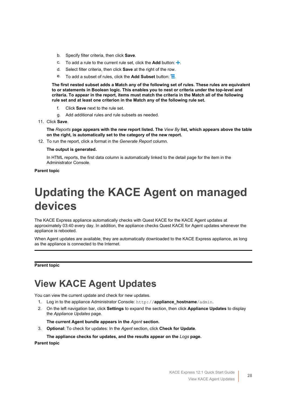- b. Specify filter criteria, then click **Save**.
- c. To add a rule to the current rule set, click the **Add** button:  $\pm$ .
- d. Select filter criteria, then click **Save** at the right of the row.
- e. To add a subset of rules, click the **Add Subset** button:  $\overline{=}$

**The first nested subset adds a Match any of the following set of rules. These rules are equivalent to or statements in Boolean logic. This enables you to nest or criteria under the top-level and criteria. To appear in the report, items must match the criteria in the Match all of the following rule set and at least one criterion in the Match any of the following rule set.**

- f. Click **Save** next to the rule set.
- g. Add additional rules and rule subsets as needed.
- 11. Click **Save**.

**The** *Reports* **page appears with the new report listed. The** *View By* **list, which appears above the table on the right, is automatically set to the category of the new report.**

12. To run the report, click a format in the *Generate Report* column.

#### **The output is generated.**

In HTML reports, the first data column is automatically linked to the detail page for the item in the Administrator Console.

#### **Parent topic**

# <span id="page-27-0"></span>**Updating the KACE Agent on managed devices**

The KACE Express appliance automatically checks with Quest KACE for the KACE Agent updates at approximately 03:40 every day. In addition, the appliance checks Quest KACE for Agent updates whenever the appliance is rebooted.

When Agent updates are available, they are automatically downloaded to the KACE Express appliance, as long as the appliance is connected to the Internet.

#### **Parent topic**

## <span id="page-27-1"></span>**View KACE Agent Updates**

You can view the current update and check for new updates.

- 1. Log in to the appliance Administrator Console: http://**appliance\_hostname**/admin.
- 2. On the left navigation bar, click **Settings** to expand the section, then click **Appliance Updates** to display the *Appliance Updates* page.

#### **The current Agent bundle appears in the** *Agent* **section.**

3. **Optional**: To check for updates: In the *Agent* section, click **Check for Update**.

#### **The appliance checks for updates, and the results appear on the** *Logs* **page.**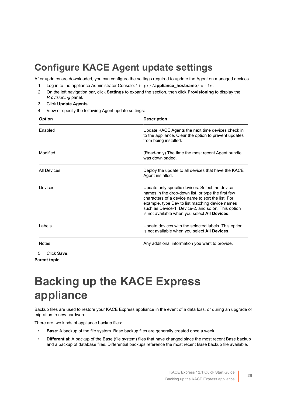## <span id="page-28-0"></span>**Configure KACE Agent update settings**

After updates are downloaded, you can configure the settings required to update the Agent on managed devices.

- 1. Log in to the appliance Administrator Console: http://**appliance\_hostname**/admin.
- 2. On the left navigation bar, click **Settings** to expand the section, then click **Provisioning** to display the *Provisioning* panel.
- 3. Click **Update Agents**.
- 4. View or specify the following Agent update settings:

| Option             | <b>Description</b>                                                                                                                                                                                                                                                                                                   |
|--------------------|----------------------------------------------------------------------------------------------------------------------------------------------------------------------------------------------------------------------------------------------------------------------------------------------------------------------|
| Enabled            | Update KACE Agents the next time devices check in<br>to the appliance. Clear the option to prevent updates<br>from being installed.                                                                                                                                                                                  |
| Modified           | (Read-only) The time the most recent Agent bundle<br>was downloaded.                                                                                                                                                                                                                                                 |
| <b>All Devices</b> | Deploy the update to all devices that have the KACE<br>Agent installed.                                                                                                                                                                                                                                              |
| Devices            | Update only specific devices. Select the device<br>names in the drop-down list, or type the first few<br>characters of a device name to sort the list. For<br>example, type Dev to list matching device names<br>such as Device-1, Device-2, and so on. This option<br>is not available when you select All Devices. |
| I abels            | Update devices with the selected labels. This option<br>is not available when you select All Devices.                                                                                                                                                                                                                |
| <b>Notes</b>       | Any additional information you want to provide.                                                                                                                                                                                                                                                                      |
| 5.<br>Click Save.  |                                                                                                                                                                                                                                                                                                                      |

**Parent topic** 

# <span id="page-28-1"></span>**Backing up the KACE Express appliance**

Backup files are used to restore your KACE Express appliance in the event of a data loss, or during an upgrade or migration to new hardware.

There are two kinds of appliance backup files:

- **Base**: A backup of the file system. Base backup files are generally created once a week.
- **Differential**: A backup of the Base (file system) files that have changed since the most recent Base backup and a backup of database files. Differential backups reference the most recent Base backup file available.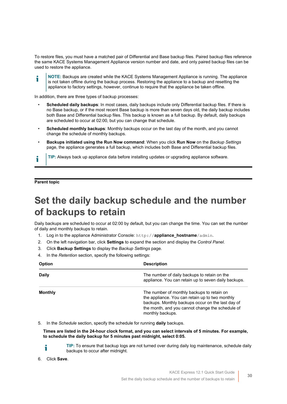To restore files, you must have a matched pair of Differential and Base backup files. Paired backup files reference the same KACE Systems Management Appliance version number and date, and only paired backup files can be used to restore the appliance.

**NOTE:** Backups are created while the KACE Systems Management Appliance is running. The appliance i is not taken offline during the backup process. Restoring the appliance to a backup and resetting the appliance to factory settings, however, continue to require that the appliance be taken offline.

In addition, there are three types of backup processes:

- **Scheduled daily backups**: In most cases, daily backups include only Differential backup files. If there is no Base backup, or if the most recent Base backup is more than seven days old, the daily backup includes both Base and Differential backup files. This backup is known as a full backup. By default, daily backups are scheduled to occur at 02:00, but you can change that schedule.
- **Scheduled monthly backups**: Monthly backups occur on the last day of the month, and you cannot change the schedule of monthly backups.
- **Backups initiated using the Run Now command**: When you click **Run Now** on the *Backup Settings* page, the appliance generates a full backup, which includes both Base and Differential backup files.

**TIP:** Always back up appliance data before installing updates or upgrading appliance software.

#### **Parent topic**

### <span id="page-29-0"></span>**Set the daily backup schedule and the number of backups to retain**

Daily backups are scheduled to occur at 02:00 by default, but you can change the time. You can set the number of daily and monthly backups to retain.

- 1. Log in to the appliance Administrator Console: http://**appliance\_hostname**/admin.
- 2. On the left navigation bar, click **Settings** to expand the section and display the *Control Panel*.
- 3. Click **Backup Settings** to display the *Backup Settings* page.
- 4. In the *Retention* section, specify the following settings:

| <b>Option</b>  | <b>Description</b>                                                                                                                                                                                                         |  |
|----------------|----------------------------------------------------------------------------------------------------------------------------------------------------------------------------------------------------------------------------|--|
| <b>Daily</b>   | The number of daily backups to retain on the<br>appliance. You can retain up to seven daily backups.                                                                                                                       |  |
| <b>Monthly</b> | The number of monthly backups to retain on<br>the appliance. You can retain up to two monthly<br>backups. Monthly backups occur on the last day of<br>the month, and you cannot change the schedule of<br>monthly backups. |  |

5. In the *Schedule* section, specify the schedule for running **daily** backups.

**Times are listed in the 24-hour clock format, and you can select intervals of 5 minutes. For example, to schedule the daily backup for 5 minutes past midnight, select 0:05.**

i

**TIP:** To ensure that backup logs are not turned over during daily log maintenance, schedule daily backups to occur after midnight.

6. Click **Save**.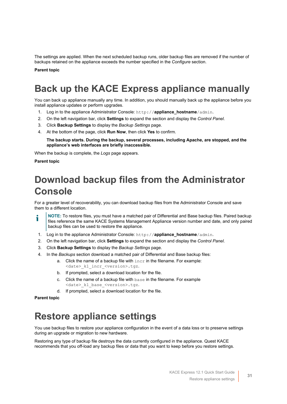The settings are applied. When the next scheduled backup runs, older backup files are removed if the number of backups retained on the appliance exceeds the number specified in the *Configure* section.

**Parent topic** 

## <span id="page-30-0"></span>**Back up the KACE Express appliance manually**

You can back up appliance manually any time. In addition, you should manually back up the appliance before you install appliance updates or perform upgrades.

- 1. Log in to the appliance Administrator Console: http://**appliance\_hostname**/admin.
- 2. On the left navigation bar, click **Settings** to expand the section and display the *Control Panel*.
- 3. Click **Backup Settings** to display the *Backup Settings* page.
- 4. At the bottom of the page, click **Run Now**, then click **Yes** to confirm.

**The backup starts. During the backup, several processes, including Apache, are stopped, and the appliance's web interfaces are briefly inaccessible.**

When the backup is complete, the *Logs* page appears.

#### **Parent topic**

## <span id="page-30-1"></span>**Download backup files from the Administrator Console**

For a greater level of recoverability, you can download backup files from the Administrator Console and save them to a different location.

- **NOTE:** To restore files, you must have a matched pair of Differential and Base backup files. Paired backup i files reference the same KACE Systems Management Appliance version number and date, and only paired backup files can be used to restore the appliance.
- 1. Log in to the appliance Administrator Console: http://**appliance\_hostname**/admin.
- 2. On the left navigation bar, click **Settings** to expand the section and display the *Control Panel*.
- 3. Click **Backup Settings** to display the *Backup Settings* page.
- 4. In the *Backups* section download a matched pair of Differential and Base backup files:
	- a. Click the name of a backup file with  $\text{incr}$  in the filename. For example: <date>\_k1\_incr\_<version>.tgz.
	- b. If prompted, select a download location for the file.
	- c. Click the name of a backup file with base in the filename. For example <date>\_k1\_base\_<version>.tgz.
	- d. If prompted, select a download location for the file.

**Parent topic** 

### <span id="page-30-2"></span>**Restore appliance settings**

You use backup files to restore your appliance configuration in the event of a data loss or to preserve settings during an upgrade or migration to new hardware.

Restoring any type of backup file destroys the data currently configured in the appliance. Quest KACE recommends that you off-load any backup files or data that you want to keep before you restore settings.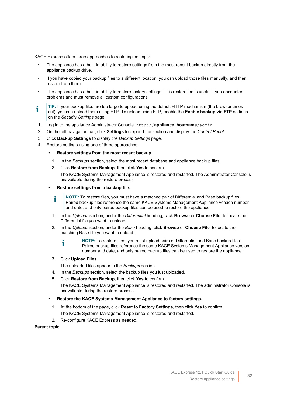KACE Express offers three approaches to restoring settings:

- The appliance has a built-in ability to restore settings from the most recent backup directly from the appliance backup drive.
- If you have copied your backup files to a different location, you can upload those files manually, and then restore from them.
- The appliance has a built-in ability to restore factory settings. This restoration is useful if you encounter problems and must remove all custom configurations.
- **TIP:** If your backup files are too large to upload using the default HTTP mechanism (the browser times out), you can upload them using FTP. To upload using FTP, enable the **Enable backup via FTP** settings on the *Security Settings* page.
- 1. Log in to the appliance Administrator Console: http://**appliance\_hostname**/admin.
- 2. On the left navigation bar, click **Settings** to expand the section and display the *Control Panel*.
- 3. Click **Backup Settings** to display the *Backup Settings* page.
- 4. Restore settings using one of three approaches:

#### **• Restore settings from the most recent backup.**

- 1. In the *Backups* section, select the most recent database and appliance backup files.
- 2. Click **Restore from Backup**, then click **Yes** to confirm.
	- The KACE Systems Management Appliance is restored and restarted. The Administrator Console is unavailable during the restore process.

#### **• Restore settings from a backup file.**

- **NOTE:** To restore files, you must have a matched pair of Differential and Base backup files. Paired backup files reference the same KACE Systems Management Appliance version number and date, and only paired backup files can be used to restore the appliance.
- 1. In the *Uploads* section, under the *Differential* heading, click **Browse** or **Choose File**, to locate the Differential file you want to upload.
- 2. In the *Uploads* section, under the *Base* heading, click **Browse** or **Choose File**, to locate the matching Base file you want to upload.
	- **NOTE:** To restore files, you must upload pairs of Differential and Base backup files. i Paired backup files reference the same KACE Systems Management Appliance version number and date, and only paired backup files can be used to restore the appliance.

#### 3. Click **Upload Files**.

The uploaded files appear in the *Backups* section.

- 4. In the *Backups* section, select the backup files you just uploaded.
- 5. Click **Restore from Backup**, then click **Yes** to confirm.

The KACE Systems Management Appliance is restored and restarted. The administrator Console is unavailable during the restore process.

#### **• Restore the KACE Systems Management Appliance to factory settings.**

- 1. At the bottom of the page, click **Reset to Factory Settings**, then click **Yes** to confirm. The KACE Systems Management Appliance is restored and restarted.
- 2. Re-configure KACE Express as needed.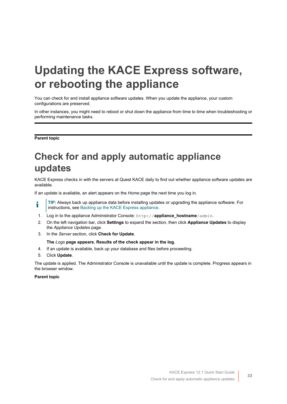# <span id="page-32-0"></span>**Updating the KACE Express software, or rebooting the appliance**

You can check for and install appliance software updates. When you update the appliance, your custom configurations are preserved.

In other instances, you might need to reboot or shut down the appliance from time to time when troubleshooting or performing maintenance tasks.

**Parent topic** 

## <span id="page-32-1"></span>**Check for and apply automatic appliance updates**

KACE Express checks in with the servers at Quest KACE daily to find out whether appliance software updates are available.

If an update is available, an alert appears on the *Home* page the next time you log in.

- **TIP:** Always back up appliance data before installing updates or upgrading the appliance software. For i instructions, see [Backing up the KACE Express appliance.](#page-28-1)
- 1. Log in to the appliance Administrator Console: http://**appliance\_hostname**/admin.
- 2. On the left navigation bar, click **Settings** to expand the section, then click **Appliance Updates** to display the *Appliance Updates* page.
- 3. In the *Server* section, click **Check for Update**.

#### **The** *Logs* **page appears. Results of the check appear in the log.**

- 4. If an update is available, back up your database and files before proceeding.
- 5. Click **Update**.

The update is applied. The Administrator Console is unavailable until the update is complete. Progress appears in the browser window.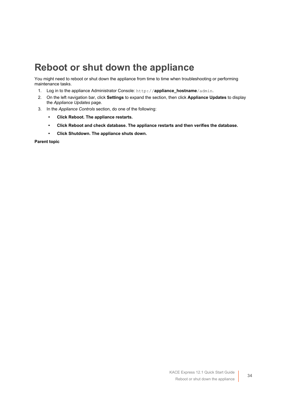### <span id="page-33-0"></span>**Reboot or shut down the appliance**

You might need to reboot or shut down the appliance from time to time when troubleshooting or performing maintenance tasks.

- 1. Log in to the appliance Administrator Console: http://**appliance\_hostname**/admin.
- 2. On the left navigation bar, click **Settings** to expand the section, then click **Appliance Updates** to display the *Appliance Updates* page.
- 3. In the *Appliance Controls* section, do one of the following:
	- **• Click Reboot. The appliance restarts.**
	- **• Click Reboot and check database. The appliance restarts and then verifies the database.**
	- **• Click Shutdown. The appliance shuts down.**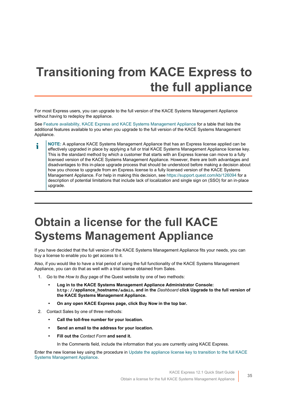# <span id="page-34-0"></span>**Transitioning from KACE Express to the full appliance**

For most Express users, you can upgrade to the full version of the KACE Systems Management Appliance without having to redeploy the appliance.

See [Feature availability, KACE Express and KACE Systems Management Appliance](#page-37-1) for a table that lists the additional features available to you when you upgrade to the full version of the KACE Systems Management Appliance.

**NOTE:** A appliance KACE Systems Management Appliance that has an Express license applied can be i effectively upgraded in place by applying a full or trial KACE Systems Management Appliance license key. This is the standard method by which a customer that starts with an Express license can move to a fully licensed version of the KACE Systems Management Appliance. However, there are both advantages and disadvantages to this in-place upgrade process that should be understood before making a decision about how you choose to upgrade from an Express license to a fully licensed version of the KACE Systems Management Appliance. For help in making this decision, see<https://support.quest.com/kb/126094>for a description of potential limitations that include lack of localization and single sign on (SSO) for an in-place upgrade.

# <span id="page-34-1"></span>**Obtain a license for the full KACE Systems Management Appliance**

If you have decided that the full version of the KACE Systems Management Appliance fits your needs, you can buy a license to enable you to get access to it.

Also, if you would like to have a trial period of using the full functionality of the KACE Systems Management Appliance, you can do that as well with a trial license obtained from Sales.

- 1. Go to the *How to Buy* page of the Quest website by one of two methods:
	- **• Log in to the KACE Systems Management Appliance Administrator Console: http://appliance\_hostname/admin, and in the** *Dashboard* **click Upgrade to the full version of the KACE Systems Management Appliance.**
	- **• On any open KACE Express page, click Buy Now in the top bar.**
- 2. Contact Sales by one of three methods:
	- **• Call the toll-free number for your location.**
	- **• Send an email to the address for your location.**
	- **• Fill out the** *Contact Form* **and send it.**

In the Comments field, include the information that you are currently using KACE Express.

Enter the new license key using the procedure in [Update the appliance license key to transition to the full KACE](#page-35-0) [Systems Management Appliance](#page-35-0).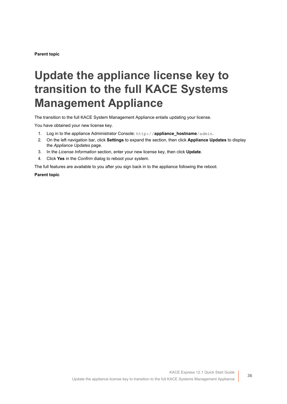**Parent topic** 

# <span id="page-35-0"></span>**Update the appliance license key to transition to the full KACE Systems Management Appliance**

The transition to the full KACE System Management Appliance entails updating your license.

You have obtained your new license key.

- 1. Log in to the appliance Administrator Console: http://**appliance\_hostname**/admin.
- 2. On the left navigation bar, click **Settings** to expand the section, then click **Appliance Updates** to display the *Appliance Updates* page.
- 3. In the *License Information* section, enter your new license key, then click **Update**.
- 4. Click **Yes** in the *Confirm* dialog to reboot your system.

The full features are available to you after you sign back in to the appliance following the reboot.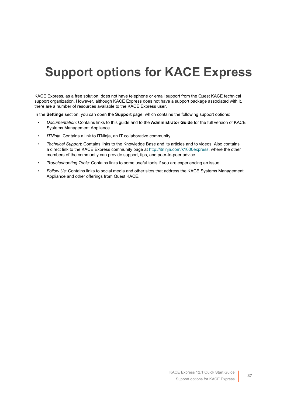# <span id="page-36-0"></span>**Support options for KACE Express**

KACE Express, as a free solution, does not have telephone or email support from the Quest KACE technical support organization. However, although KACE Express does not have a support package associated with it, there are a number of resources available to the KACE Express user.

In the **Settings** section, you can open the **Support** page, which contains the following support options:

- *Documentation*: Contains links to this guide and to the **Administrator Guide** for the full version of KACE Systems Management Appliance.
- *ITNinja*: Contains a link to ITNinja, an IT collaborative community.
- *Technical Support*: Contains links to the Knowledge Base and its articles and to videos. Also contains a direct link to the KACE Express community page at [http://itninja.com/k1000express,](http://itninja.com/k1000express) where the other members of the community can provide support, tips, and peer-to-peer advice.
- *Troubleshooting Tools*: Contains links to some useful tools if you are experiencing an issue.
- *Follow Us*: Contains links to social media and other sites that address the KACE Systems Management Appliance and other offerings from Quest KACE.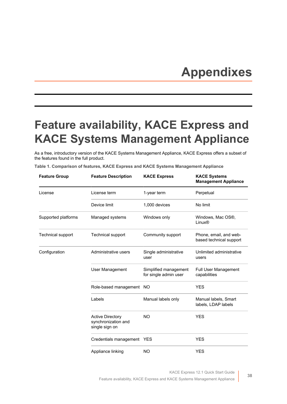# **Appendixes**

## <span id="page-37-1"></span><span id="page-37-0"></span>**Feature availability, KACE Express and KACE Systems Management Appliance**

As a free, introductory version of the KACE Systems Management Appliance, KACE Express offers a subset of the features found in the full product.

|  |  |  |  |  | Table 1. Comparison of features, KACE Express and KACE Systems Management Appliance |
|--|--|--|--|--|-------------------------------------------------------------------------------------|
|--|--|--|--|--|-------------------------------------------------------------------------------------|

| <b>Feature Group</b>     | <b>Feature Description</b>                                       | <b>KACE Express</b>                            | <b>KACE Systems</b><br><b>Management Appliance</b> |
|--------------------------|------------------------------------------------------------------|------------------------------------------------|----------------------------------------------------|
| License                  | License term                                                     | 1-year term                                    | Perpetual                                          |
|                          | Device limit                                                     | 1,000 devices                                  | No limit                                           |
| Supported platforms      | Managed systems                                                  | Windows only                                   | Windows, Mac OS®,<br>Linux <sup>®</sup>            |
| <b>Technical support</b> | Technical support                                                | Community support                              | Phone, email, and web-<br>based technical support  |
| Configuration            | Administrative users                                             | Single administrative<br>user                  | Unlimited administrative<br>users                  |
|                          | User Management                                                  | Simplified management<br>for single admin user | <b>Full User Management</b><br>capabilities        |
|                          | Role-based management NO                                         |                                                | <b>YES</b>                                         |
|                          | Labels                                                           | Manual labels only                             | Manual labels, Smart<br>labels, LDAP labels        |
|                          | <b>Active Directory</b><br>synchronization and<br>single sign on | <b>NO</b>                                      | <b>YES</b>                                         |
|                          | Credentials management YES                                       |                                                | <b>YES</b>                                         |
|                          | Appliance linking                                                | <b>NO</b>                                      | <b>YES</b>                                         |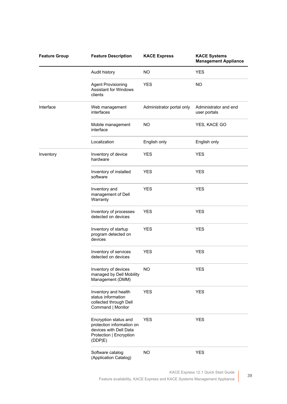| <b>Feature Group</b> | <b>Feature Description</b>                                                                                         | <b>KACE Express</b>       | <b>KACE Systems</b><br><b>Management Appliance</b> |
|----------------------|--------------------------------------------------------------------------------------------------------------------|---------------------------|----------------------------------------------------|
|                      | Audit history                                                                                                      | NO.                       | <b>YES</b>                                         |
|                      | <b>Agent Provisioning</b><br><b>Assistant for Windows</b><br>clients                                               | <b>YES</b>                | NO.                                                |
| Interface            | Web management<br>interfaces                                                                                       | Administrator portal only | Administrator and end<br>user portals              |
|                      | Mobile management<br>interface                                                                                     | NO.                       | YES, KACE GO                                       |
|                      | Localization                                                                                                       | English only              | English only                                       |
| Inventory            | Inventory of device<br>hardware                                                                                    | <b>YES</b>                | <b>YES</b>                                         |
|                      | Inventory of installed<br>software                                                                                 | <b>YES</b>                | <b>YES</b>                                         |
|                      | Inventory and<br>management of Dell<br>Warranty                                                                    | <b>YES</b>                | <b>YES</b>                                         |
|                      | Inventory of processes<br>detected on devices                                                                      | <b>YES</b>                | <b>YES</b>                                         |
|                      | Inventory of startup<br>program detected on<br>devices                                                             | <b>YES</b>                | <b>YES</b>                                         |
|                      | Inventory of services<br>detected on devices                                                                       | <b>YES</b>                | <b>YES</b>                                         |
|                      | Inventory of devices<br>managed by Dell Mobility<br>Management (DMM)                                               | <b>NO</b>                 | <b>YES</b>                                         |
|                      | Inventory and health<br>status information<br>collected through Dell<br>Command   Monitor                          | <b>YES</b>                | <b>YES</b>                                         |
|                      | Encryption status and<br>protection information on<br>devices with Dell Data<br>Protection   Encryption<br>(DDP E) | <b>YES</b>                | <b>YES</b>                                         |
|                      | Software catalog<br>(Application Catalog)                                                                          | <b>NO</b>                 | <b>YES</b>                                         |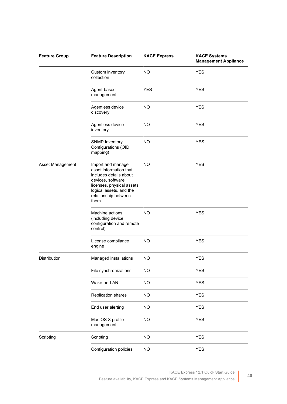| <b>Feature Group</b> | <b>Feature Description</b>                                                                                                                                                            | <b>KACE Express</b> | <b>KACE Systems</b><br><b>Management Appliance</b> |
|----------------------|---------------------------------------------------------------------------------------------------------------------------------------------------------------------------------------|---------------------|----------------------------------------------------|
|                      | Custom inventory<br>collection                                                                                                                                                        | NO.                 | <b>YES</b>                                         |
|                      | Agent-based<br>management                                                                                                                                                             | <b>YES</b>          | <b>YES</b>                                         |
|                      | Agentless device<br>discovery                                                                                                                                                         | NO.                 | <b>YES</b>                                         |
|                      | Agentless device<br>inventory                                                                                                                                                         | <b>NO</b>           | <b>YES</b>                                         |
|                      | <b>SNMP Inventory</b><br>Configurations (OID<br>mapping)                                                                                                                              | <b>NO</b>           | <b>YES</b>                                         |
| Asset Management     | Import and manage<br>asset information that<br>includes details about<br>devices, software,<br>licenses, physical assets,<br>logical assets, and the<br>relationship between<br>them. | <b>NO</b>           | <b>YES</b>                                         |
|                      | Machine actions<br>(including device<br>configuration and remote<br>control)                                                                                                          | NO.                 | <b>YES</b>                                         |
|                      | License compliance<br>engine                                                                                                                                                          | <b>NO</b>           | <b>YES</b>                                         |
| Distribution         | Managed installations                                                                                                                                                                 | <b>NO</b>           | <b>YES</b>                                         |
|                      | File synchronizations                                                                                                                                                                 | <b>NO</b>           | <b>YES</b>                                         |
|                      | Wake-on-LAN                                                                                                                                                                           | <b>NO</b>           | <b>YES</b>                                         |
|                      | Replication shares                                                                                                                                                                    | <b>NO</b>           | <b>YES</b>                                         |
|                      | End user alerting                                                                                                                                                                     | <b>NO</b>           | <b>YES</b>                                         |
|                      | Mac OS X profile<br>management                                                                                                                                                        | <b>NO</b>           | <b>YES</b>                                         |
| Scripting            | Scripting                                                                                                                                                                             | <b>NO</b>           | <b>YES</b>                                         |
|                      | Configuration policies                                                                                                                                                                | NO                  | <b>YES</b>                                         |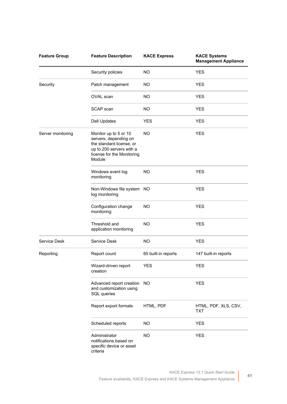| <b>Feature Group</b> | <b>Feature Description</b>                                                                                                                     | <b>KACE Express</b> | <b>KACE Systems</b><br><b>Management Appliance</b> |
|----------------------|------------------------------------------------------------------------------------------------------------------------------------------------|---------------------|----------------------------------------------------|
|                      | Security policies                                                                                                                              | <b>NO</b>           | <b>YES</b>                                         |
| Security             | Patch management                                                                                                                               | NO.                 | <b>YES</b>                                         |
|                      | OVAL scan                                                                                                                                      | NO.                 | <b>YES</b>                                         |
|                      | SCAP scan                                                                                                                                      | NO.                 | <b>YES</b>                                         |
|                      | <b>Dell Updates</b>                                                                                                                            | <b>YES</b>          | <b>YES</b>                                         |
| Server monitoring    | Monitor up to 5 or 10<br>servers, depending on<br>the standard license, or<br>up to 200 servers with a<br>license for the Monitoring<br>Module | NO.                 | <b>YES</b>                                         |
|                      | Windows event log<br>monitoring                                                                                                                | <b>NO</b>           | <b>YES</b>                                         |
|                      | Non-Windows file system NO<br>log monitoring                                                                                                   |                     | <b>YES</b>                                         |
|                      | Configuration change<br>monitoring                                                                                                             | <b>NO</b>           | <b>YES</b>                                         |
|                      | Threshold and<br>application monitoring                                                                                                        | <b>NO</b>           | <b>YES</b>                                         |
| Service Desk         | Service Desk                                                                                                                                   | <b>NO</b>           | <b>YES</b>                                         |
| Reporting            | Report count                                                                                                                                   | 65 built-in reports | 147 built-in reports                               |
|                      | Wizard-driven report<br>creation                                                                                                               | <b>YES</b>          | <b>YES</b>                                         |
|                      | Advanced report creation<br>and customization using<br>SQL queries                                                                             | NO                  | <b>YES</b>                                         |
|                      | Report export formats                                                                                                                          | HTML, PDF           | HTML, PDF, XLS, CSV,<br>TXT                        |
|                      | Scheduled reports                                                                                                                              | <b>NO</b>           | <b>YES</b>                                         |
|                      | Administrator<br>notifications based on<br>specific device or asset<br>criteria                                                                | <b>NO</b>           | <b>YES</b>                                         |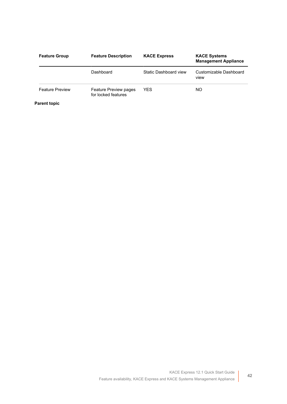| <b>Feature Group</b>   | <b>Feature Description</b>                   | <b>KACE Express</b>   | <b>KACE Systems</b><br><b>Management Appliance</b> |
|------------------------|----------------------------------------------|-----------------------|----------------------------------------------------|
|                        | Dashboard                                    | Static Dashboard view | Customizable Dashboard<br><b>VIEW</b>              |
| <b>Feature Preview</b> | Feature Preview pages<br>for locked features | YES.                  | NO.                                                |

**Parent topic**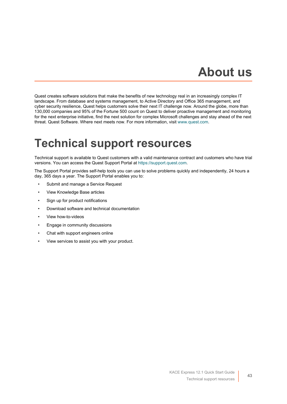# **About us**

<span id="page-42-0"></span>Quest creates software solutions that make the benefits of new technology real in an increasingly complex IT landscape. From database and systems management, to Active Directory and Office 365 management, and cyber security resilience, Quest helps customers solve their next IT challenge now. Around the globe, more than 130,000 companies and 95% of the Fortune 500 count on Quest to deliver proactive management and monitoring for the next enterprise initiative, find the next solution for complex Microsoft challenges and stay ahead of the next threat. Quest Software. Where next meets now. For more information, visit [www.quest.com.](https://www.quest.com/company/contact-us.aspx)

## <span id="page-42-1"></span>**Technical support resources**

Technical support is available to Quest customers with a valid maintenance contract and customers who have trial versions. You can access the Quest Support Portal at [https://support.quest.com.](https://support.quest.com/)

The Support Portal provides self-help tools you can use to solve problems quickly and independently, 24 hours a day, 365 days a year. The Support Portal enables you to:

- Submit and manage a Service Request
- View Knowledge Base articles
- Sign up for product notifications
- Download software and technical documentation
- View how-to-videos
- Engage in community discussions
- Chat with support engineers online
- View services to assist you with your product.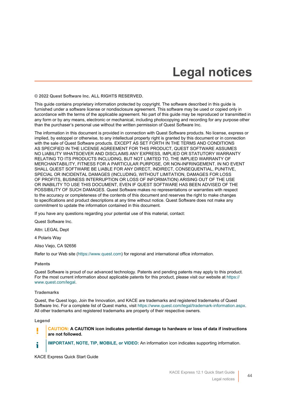# **Legal notices**

<span id="page-43-0"></span>**© 2022 Quest Software Inc. ALL RIGHTS RESERVED.**

This guide contains proprietary information protected by copyright. The software described in this guide is furnished under a software license or nondisclosure agreement. This software may be used or copied only in accordance with the terms of the applicable agreement. No part of this guide may be reproduced or transmitted in any form or by any means, electronic or mechanical, including photocopying and recording for any purpose other than the purchaser's personal use without the written permission of Quest Software Inc.

The information in this document is provided in connection with Quest Software products. No license, express or implied, by estoppel or otherwise, to any intellectual property right is granted by this document or in connection with the sale of Quest Software products. EXCEPT AS SET FORTH IN THE TERMS AND CONDITIONS AS SPECIFIED IN THE LICENSE AGREEMENT FOR THIS PRODUCT, QUEST SOFTWARE ASSUMES NO LIABILITY WHATSOEVER AND DISCLAIMS ANY EXPRESS, IMPLIED OR STATUTORY WARRANTY RELATING TO ITS PRODUCTS INCLUDING, BUT NOT LIMITED TO, THE IMPLIED WARRANTY OF MERCHANTABILITY, FITNESS FOR A PARTICULAR PURPOSE, OR NON-INFRINGEMENT. IN NO EVENT SHALL QUEST SOFTWARE BE LIABLE FOR ANY DIRECT, INDIRECT, CONSEQUENTIAL, PUNITIVE, SPECIAL OR INCIDENTAL DAMAGES (INCLUDING, WITHOUT LIMITATION, DAMAGES FOR LOSS OF PROFITS, BUSINESS INTERRUPTION OR LOSS OF INFORMATION) ARISING OUT OF THE USE OR INABILITY TO USE THIS DOCUMENT, EVEN IF QUEST SOFTWARE HAS BEEN ADVISED OF THE POSSIBILITY OF SUCH DAMAGES. Quest Software makes no representations or warranties with respect to the accuracy or completeness of the contents of this document and reserves the right to make changes to specifications and product descriptions at any time without notice. Quest Software does not make any commitment to update the information contained in this document.

If you have any questions regarding your potential use of this material, contact:

Quest Software Inc.

Attn: LEGAL Dept

4 Polaris Way

Aliso Viejo, CA 92656

Refer to our Web site [\(https://www.quest.com\)](https://www.quest.com) for regional and international office information.

**Patents**

Quest Software is proud of our advanced technology. Patents and pending patents may apply to this product. For the most current information about applicable patents for this product, please visit our website at [https://](https://www.quest.com/legal) [www.quest.com/legal.](https://www.quest.com/legal)

#### **Trademarks**

Quest, the Quest logo, Join the Innovation, and KACE are trademarks and registered trademarks of Quest Software Inc. For a complete list of Quest marks, visit [https://www.quest.com/legal/trademark-information.aspx.](https://www.quest.com/legal/trademark-information.aspx) All other trademarks and registered trademarks are property of their respective owners.

**Legend**

#### **CAUTION: A CAUTION icon indicates potential damage to hardware or loss of data if instructions are not followed.**

i

**IMPORTANT, NOTE, TIP, MOBILE, or VIDEO:** An information icon indicates supporting information.

KACE Express Quick Start Guide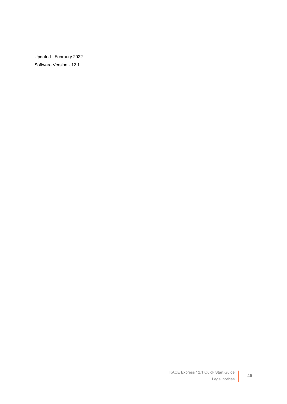Updated - February 2022 Software Version - 12.1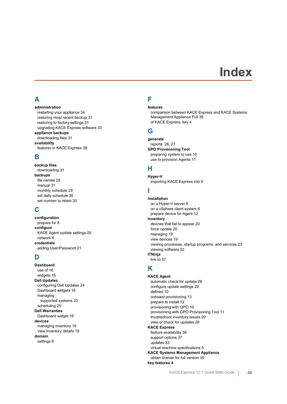## **Index**

### <span id="page-45-0"></span>**A**

**administration** restarting your appliance [34](#page-33-0) restoring most recent backup [31](#page-30-2) restoring to factory settings [31](#page-30-2) upgrading KACE Express software [33](#page-32-1) **appliance backups** downloading files [31](#page-30-1) **availability** features in KACE Express [38](#page-37-1)

### **B**

**backup files** downloading [31](#page-30-1) **backups** file names [29](#page-28-1) manual [31](#page-30-0) monthly schedule [29](#page-28-1) set daily schedule [30](#page-29-0) set number to retain [30](#page-29-0)

### **C**

**configuration** prepare for [8](#page-7-1) **configure** KACE Agent update settings [29](#page-28-0) network [8](#page-7-2) **credentials** adding User/Password [21](#page-20-0)

### **D**

**Dashboard** use of [16](#page-15-1) widgets [16](#page-15-2) **Dell Updates** configuring Dell Updates [24](#page-23-0) Dashboard widgets [16](#page-15-2) managing supported systems [23](#page-22-2) scheduling [25](#page-24-0) **Dell Warranties** Dashboard widget [16](#page-15-2) **devices** managing inventory [19](#page-18-0) view inventory details [19](#page-18-1) **domain** settings [8](#page-7-2)

### **F**

#### **features**

comparison between KACE Express and KACE Systems Management Appliance Full [38](#page-37-1) of KACE Express, key [4](#page-3-0)

### **G**

### **generate**

reports  [26](#page-25-1), [27](#page-26-0) **GPO Provisioning Tool** preparing system to use [10](#page-9-2) use to provision Agents [11](#page-10-0)

### **H**

**Hyper-V** importing KACE Express into [6](#page-5-2)

### **I**

**installation** on a Hyper-V server [6](#page-5-2) on a vSphere client system [6](#page-5-1) prepare device for Agent [12](#page-11-1) **inventory** devices that fail to appear [20](#page-19-1) force update [20](#page-19-0) managing [19](#page-18-0) view devices [19](#page-18-1) viewing processes, startup programs, and services [23](#page-22-0) viewing software [22](#page-21-1) **ITNinja** link to [37](#page-36-0)

### **K**

**KACE Agent** automatic check for update [28](#page-27-0) configure update settings [29](#page-28-0) defined [10](#page-9-0) onboard provisioning [13](#page-12-0) prepare to install [12](#page-11-1) provisioning with GPO [10](#page-9-0) provisioning with GPO Provisioning Tool [11](#page-10-0) troubleshoot inventory issues [20](#page-19-1) view or check for updates [28](#page-27-1) **KACE Express** feature availability [38](#page-37-1) support options [37](#page-36-0) updates [33](#page-32-1) virtual machine specifications [5](#page-4-0) **KACE Systems Management Appliance** obtain license for full version [35](#page-34-1) **key features [4](#page-3-0)**